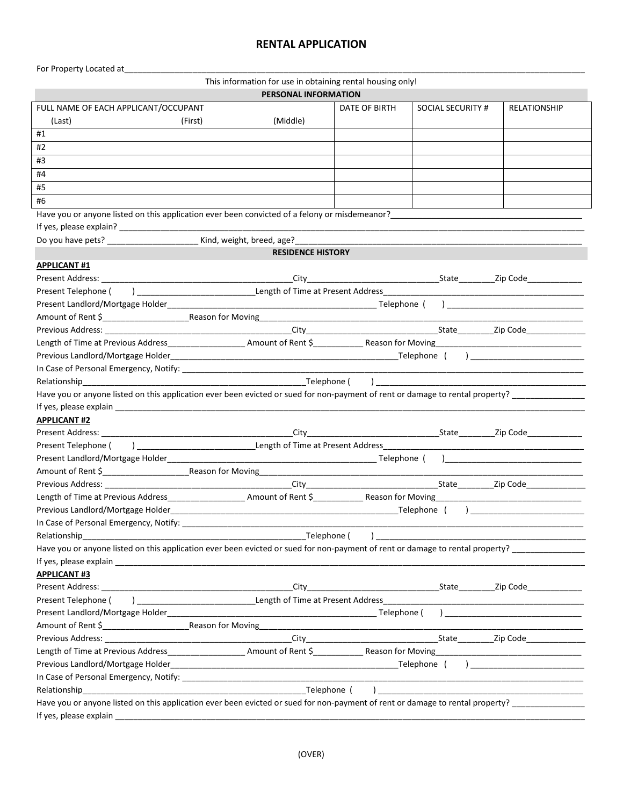## **RENTAL APPLICATION**

For Property Located at\_

ī

| This information for use in obtaining rental housing only! |  |  |  |  |  |
|------------------------------------------------------------|--|--|--|--|--|
|------------------------------------------------------------|--|--|--|--|--|

**PERSONAL INFORMATION** 

|                                                                                                                                                                                                                               |         | FERSONAL INFORMATION     |               |                                                                                                                |                                                                             |
|-------------------------------------------------------------------------------------------------------------------------------------------------------------------------------------------------------------------------------|---------|--------------------------|---------------|----------------------------------------------------------------------------------------------------------------|-----------------------------------------------------------------------------|
| FULL NAME OF EACH APPLICANT/OCCUPANT                                                                                                                                                                                          |         |                          | DATE OF BIRTH | SOCIAL SECURITY #                                                                                              | <b>RELATIONSHIP</b>                                                         |
| (Last)                                                                                                                                                                                                                        | (First) | (Middle)                 |               |                                                                                                                |                                                                             |
| #1                                                                                                                                                                                                                            |         |                          |               |                                                                                                                |                                                                             |
| #2                                                                                                                                                                                                                            |         |                          |               |                                                                                                                |                                                                             |
| #3                                                                                                                                                                                                                            |         |                          |               |                                                                                                                |                                                                             |
| #4                                                                                                                                                                                                                            |         |                          |               |                                                                                                                |                                                                             |
| #5                                                                                                                                                                                                                            |         |                          |               |                                                                                                                |                                                                             |
| #6                                                                                                                                                                                                                            |         |                          |               |                                                                                                                |                                                                             |
| Have you or anyone listed on this application ever been convicted of a felony or misdemeanor?<br>Have you or anyone listed on this application ever been convicted of a felony or misdemeanor?                                |         |                          |               |                                                                                                                |                                                                             |
|                                                                                                                                                                                                                               |         |                          |               |                                                                                                                |                                                                             |
|                                                                                                                                                                                                                               |         |                          |               |                                                                                                                |                                                                             |
|                                                                                                                                                                                                                               |         | <b>RESIDENCE HISTORY</b> |               |                                                                                                                |                                                                             |
| <b>APPLICANT #1</b>                                                                                                                                                                                                           |         |                          |               |                                                                                                                |                                                                             |
|                                                                                                                                                                                                                               |         |                          |               |                                                                                                                |                                                                             |
| Present Telephone (                                                                                                                                                                                                           |         |                          |               |                                                                                                                |                                                                             |
|                                                                                                                                                                                                                               |         |                          |               |                                                                                                                |                                                                             |
|                                                                                                                                                                                                                               |         |                          |               |                                                                                                                |                                                                             |
|                                                                                                                                                                                                                               |         |                          |               |                                                                                                                |                                                                             |
| Length of Time at Previous Address_____________________Amount of Rent \$______________Reason for Moving_________________________________                                                                                      |         |                          |               |                                                                                                                |                                                                             |
|                                                                                                                                                                                                                               |         |                          |               |                                                                                                                |                                                                             |
|                                                                                                                                                                                                                               |         |                          |               |                                                                                                                |                                                                             |
| Relationship                                                                                                                                                                                                                  |         |                          |               |                                                                                                                |                                                                             |
| Have you or anyone listed on this application ever been evicted or sued for non-payment of rent or damage to rental property? _______________                                                                                 |         |                          |               |                                                                                                                |                                                                             |
| If yes, please explain and the state of the state of the state of the state of the state of the state of the state of the state of the state of the state of the state of the state of the state of the state of the state of |         |                          |               |                                                                                                                |                                                                             |
| <b>APPLICANT#2</b>                                                                                                                                                                                                            |         |                          |               |                                                                                                                |                                                                             |
|                                                                                                                                                                                                                               |         |                          |               | ______________________State____________Zip Code________________                                                |                                                                             |
|                                                                                                                                                                                                                               |         |                          |               |                                                                                                                |                                                                             |
|                                                                                                                                                                                                                               |         |                          |               |                                                                                                                |                                                                             |
|                                                                                                                                                                                                                               |         |                          |               |                                                                                                                |                                                                             |
|                                                                                                                                                                                                                               |         |                          |               |                                                                                                                |                                                                             |
|                                                                                                                                                                                                                               |         |                          |               |                                                                                                                |                                                                             |
|                                                                                                                                                                                                                               |         |                          |               |                                                                                                                |                                                                             |
|                                                                                                                                                                                                                               |         |                          |               |                                                                                                                |                                                                             |
|                                                                                                                                                                                                                               |         |                          |               |                                                                                                                |                                                                             |
| Telephone (<br>$\overline{a}$<br>Relationship<br>Have you or anyone listed on this application ever been evicted or sued for non-payment of rent or damage to rental property?                                                |         |                          |               |                                                                                                                |                                                                             |
|                                                                                                                                                                                                                               |         |                          |               |                                                                                                                |                                                                             |
| <b>APPLICANT#3</b>                                                                                                                                                                                                            |         |                          |               |                                                                                                                |                                                                             |
|                                                                                                                                                                                                                               |         |                          |               | City City City City College City Contact City Contact City Contact City Contact City Contact City Contact City |                                                                             |
| Present Telephone (                                                                                                                                                                                                           |         |                          |               |                                                                                                                |                                                                             |
|                                                                                                                                                                                                                               |         |                          |               |                                                                                                                |                                                                             |
|                                                                                                                                                                                                                               |         |                          |               |                                                                                                                |                                                                             |
|                                                                                                                                                                                                                               |         |                          |               |                                                                                                                |                                                                             |
|                                                                                                                                                                                                                               |         |                          |               |                                                                                                                |                                                                             |
|                                                                                                                                                                                                                               |         |                          |               |                                                                                                                |                                                                             |
|                                                                                                                                                                                                                               |         |                          |               |                                                                                                                | ) and the contract of $\overline{\phantom{a}}$ and $\overline{\phantom{a}}$ |
|                                                                                                                                                                                                                               |         |                          |               |                                                                                                                |                                                                             |
| Telephone (<br>Relationship                                                                                                                                                                                                   |         |                          |               |                                                                                                                |                                                                             |
| Have you or anyone listed on this application ever been evicted or sued for non-payment of rent or damage to rental property? _______________                                                                                 |         |                          |               |                                                                                                                |                                                                             |
| If yes, please explain                                                                                                                                                                                                        |         |                          |               |                                                                                                                |                                                                             |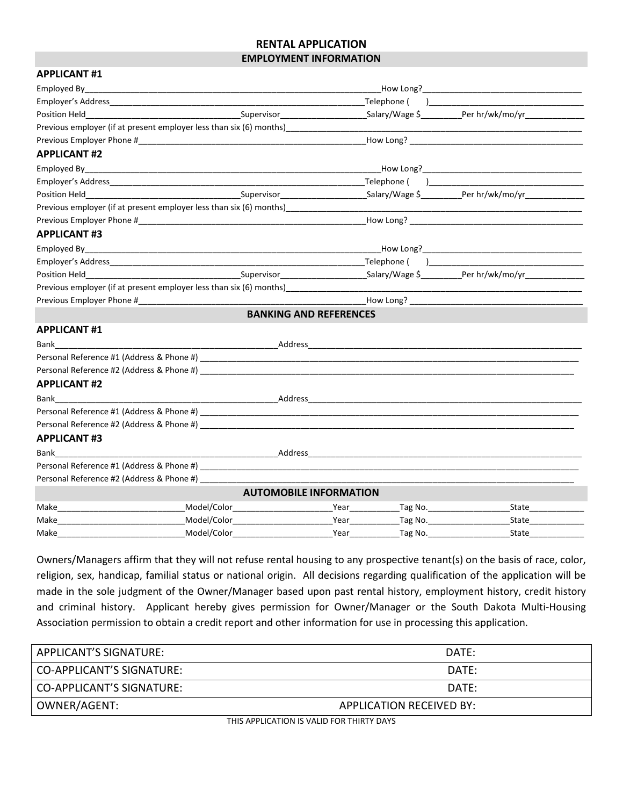## **RENTAL APPLICATION EMPLOYMENT INFORMATION**

| <b>APPLICANT#1</b>                                  |                                                                                                                                                                                                                                |                               |                                      |
|-----------------------------------------------------|--------------------------------------------------------------------------------------------------------------------------------------------------------------------------------------------------------------------------------|-------------------------------|--------------------------------------|
| Employed By                                         |                                                                                                                                                                                                                                |                               |                                      |
|                                                     |                                                                                                                                                                                                                                |                               |                                      |
|                                                     | Position Held new Supervisor Supervisor Supervisor Salary/Wage \$ Per hr/wk/mo/yr Position Held New York 2019                                                                                                                  |                               |                                      |
|                                                     | Previous employer (if at present employer less than six (6) months)                                                                                                                                                            |                               |                                      |
|                                                     |                                                                                                                                                                                                                                |                               |                                      |
| <b>APPLICANT #2</b>                                 |                                                                                                                                                                                                                                |                               |                                      |
|                                                     |                                                                                                                                                                                                                                |                               |                                      |
|                                                     |                                                                                                                                                                                                                                |                               |                                      |
|                                                     |                                                                                                                                                                                                                                |                               |                                      |
|                                                     | Previous employer (if at present employer less than six (6) months) [19] The contract of the contract of the contract of the contract of the contract of the contract of the contract of the contract of the contract of the c |                               |                                      |
|                                                     |                                                                                                                                                                                                                                |                               |                                      |
| <b>APPLICANT#3</b>                                  |                                                                                                                                                                                                                                |                               |                                      |
|                                                     |                                                                                                                                                                                                                                |                               |                                      |
|                                                     |                                                                                                                                                                                                                                |                               |                                      |
|                                                     | Position Held <b>Example 2018</b> Supervisor Supervisor Supervisor Salary/Wage \$ Per hr/wk/mo/yr Legalary 2018                                                                                                                |                               |                                      |
|                                                     | Previous employer (if at present employer less than six (6) months)______________                                                                                                                                              |                               |                                      |
| Previous Employer Phone #                           |                                                                                                                                                                                                                                |                               | How Long?                            |
|                                                     |                                                                                                                                                                                                                                | <b>BANKING AND REFERENCES</b> |                                      |
| <b>APPLICANT#1</b>                                  |                                                                                                                                                                                                                                |                               |                                      |
|                                                     |                                                                                                                                                                                                                                |                               |                                      |
|                                                     |                                                                                                                                                                                                                                |                               |                                      |
|                                                     |                                                                                                                                                                                                                                |                               |                                      |
| <b>APPLICANT#2</b>                                  |                                                                                                                                                                                                                                |                               |                                      |
|                                                     |                                                                                                                                                                                                                                |                               |                                      |
|                                                     |                                                                                                                                                                                                                                |                               |                                      |
|                                                     |                                                                                                                                                                                                                                |                               |                                      |
| <b>APPLICANT#3</b>                                  |                                                                                                                                                                                                                                |                               |                                      |
|                                                     |                                                                                                                                                                                                                                |                               |                                      |
|                                                     |                                                                                                                                                                                                                                |                               |                                      |
| Personal Reference #2 (Address & Phone #) _________ |                                                                                                                                                                                                                                |                               |                                      |
|                                                     |                                                                                                                                                                                                                                | <b>AUTOMOBILE INFORMATION</b> |                                      |
| Make                                                |                                                                                                                                                                                                                                |                               | State                                |
| Make                                                |                                                                                                                                                                                                                                |                               | State<br><u> 1989 - Jan Jan Jawa</u> |
| Make                                                | Model/Color____________________                                                                                                                                                                                                |                               | State                                |

Owners/Managers affirm that they will not refuse rental housing to any prospective tenant(s) on the basis of race, color, religion, sex, handicap, familial status or national origin. All decisions regarding qualification of the application will be made in the sole judgment of the Owner/Manager based upon past rental history, employment history, credit history and criminal history. Applicant hereby gives permission for Owner/Manager or the South Dakota Multi-Housing Association permission to obtain a credit report and other information for use in processing this application.

| APPLICANT'S SIGNATURE:           | DATF:                    |
|----------------------------------|--------------------------|
| CO-APPLICANT'S SIGNATURE:        | DATF:                    |
| <b>CO-APPLICANT'S SIGNATURE:</b> | DATF:                    |
| OWNER/AGENT:                     | APPLICATION RECEIVED BY: |

THIS APPLICATION IS VALID FOR THIRTY DAYS